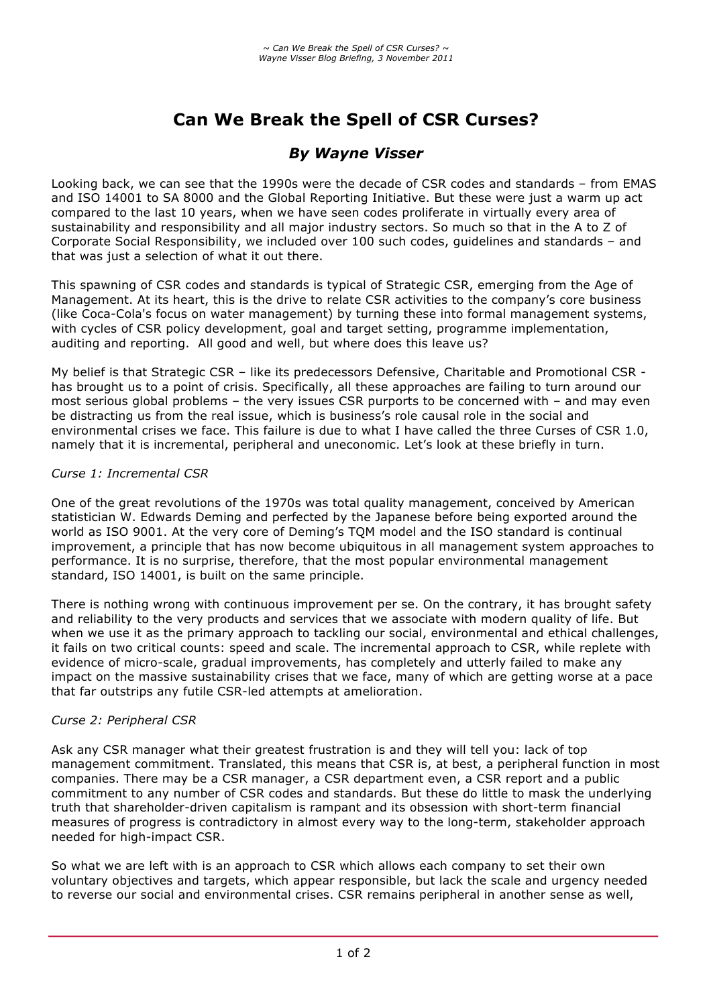# **Can We Break the Spell of CSR Curses?**

# *By Wayne Visser*

Looking back, we can see that the 1990s were the decade of CSR codes and standards – from EMAS and ISO 14001 to SA 8000 and the Global Reporting Initiative. But these were just a warm up act compared to the last 10 years, when we have seen codes proliferate in virtually every area of sustainability and responsibility and all major industry sectors. So much so that in the A to Z of Corporate Social Responsibility, we included over 100 such codes, guidelines and standards – and that was just a selection of what it out there.

This spawning of CSR codes and standards is typical of Strategic CSR, emerging from the Age of Management. At its heart, this is the drive to relate CSR activities to the company's core business (like Coca-Cola's focus on water management) by turning these into formal management systems, with cycles of CSR policy development, goal and target setting, programme implementation, auditing and reporting. All good and well, but where does this leave us?

My belief is that Strategic CSR – like its predecessors Defensive, Charitable and Promotional CSR has brought us to a point of crisis. Specifically, all these approaches are failing to turn around our most serious global problems – the very issues CSR purports to be concerned with – and may even be distracting us from the real issue, which is business's role causal role in the social and environmental crises we face. This failure is due to what I have called the three Curses of CSR 1.0, namely that it is incremental, peripheral and uneconomic. Let's look at these briefly in turn.

## *Curse 1: Incremental CSR*

One of the great revolutions of the 1970s was total quality management, conceived by American statistician W. Edwards Deming and perfected by the Japanese before being exported around the world as ISO 9001. At the very core of Deming's TQM model and the ISO standard is continual improvement, a principle that has now become ubiquitous in all management system approaches to performance. It is no surprise, therefore, that the most popular environmental management standard, ISO 14001, is built on the same principle.

There is nothing wrong with continuous improvement per se. On the contrary, it has brought safety and reliability to the very products and services that we associate with modern quality of life. But when we use it as the primary approach to tackling our social, environmental and ethical challenges, it fails on two critical counts: speed and scale. The incremental approach to CSR, while replete with evidence of micro-scale, gradual improvements, has completely and utterly failed to make any impact on the massive sustainability crises that we face, many of which are getting worse at a pace that far outstrips any futile CSR-led attempts at amelioration.

## *Curse 2: Peripheral CSR*

Ask any CSR manager what their greatest frustration is and they will tell you: lack of top management commitment. Translated, this means that CSR is, at best, a peripheral function in most companies. There may be a CSR manager, a CSR department even, a CSR report and a public commitment to any number of CSR codes and standards. But these do little to mask the underlying truth that shareholder-driven capitalism is rampant and its obsession with short-term financial measures of progress is contradictory in almost every way to the long-term, stakeholder approach needed for high-impact CSR.

So what we are left with is an approach to CSR which allows each company to set their own voluntary objectives and targets, which appear responsible, but lack the scale and urgency needed to reverse our social and environmental crises. CSR remains peripheral in another sense as well,